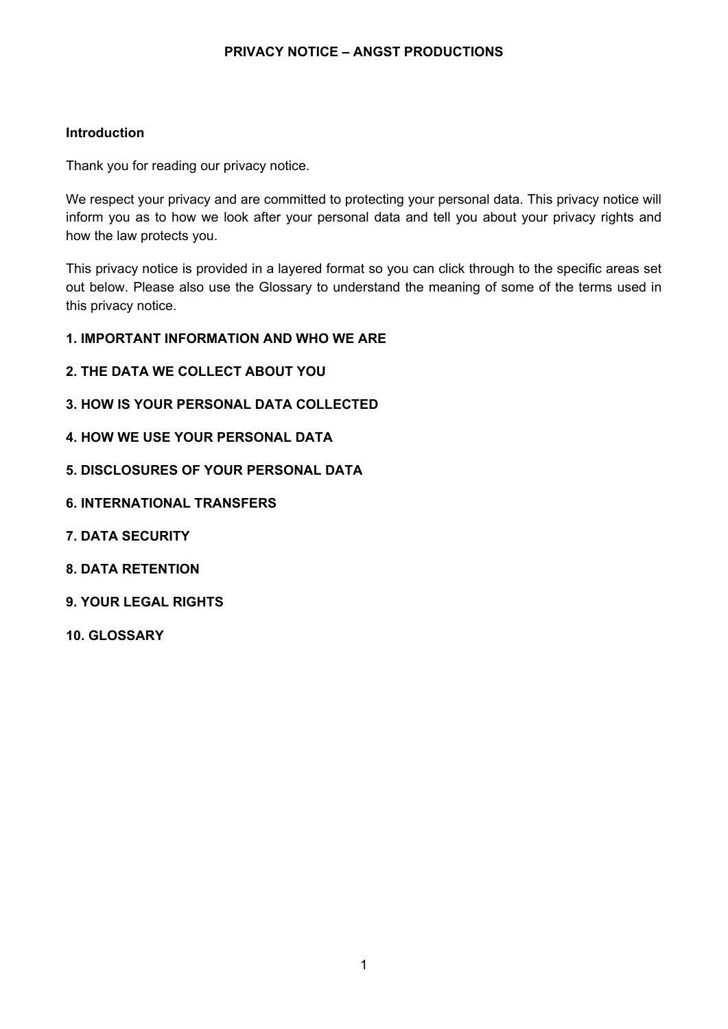### **Introduction**

Thank you for reading our privacy notice.

We respect your privacy and are committed to protecting your personal data. This privacy notice will inform you as to how we look after your personal data and tell you about your privacy rights and how the law protects you.

This privacy notice is provided in a layered format so you can click through to the specific areas set out below. Please also use the Glossary to understand the meaning of some of the terms used in this privacy notice.

# **1. IMPORTANT INFORMATION AND WHO WE ARE**

- **2. THE DATA WE COLLECT ABOUT YOU**
- **3. HOW IS YOUR PERSONAL DATA COLLECTED**
- **4. HOW WE USE YOUR PERSONAL DATA**
- **5. DISCLOSURES OF YOUR PERSONAL DATA**
- **6. INTERNATIONAL TRANSFERS**
- **7. DATA SECURITY**
- **8. DATA RETENTION**
- **9. YOUR LEGAL RIGHTS**
- **10. GLOSSARY**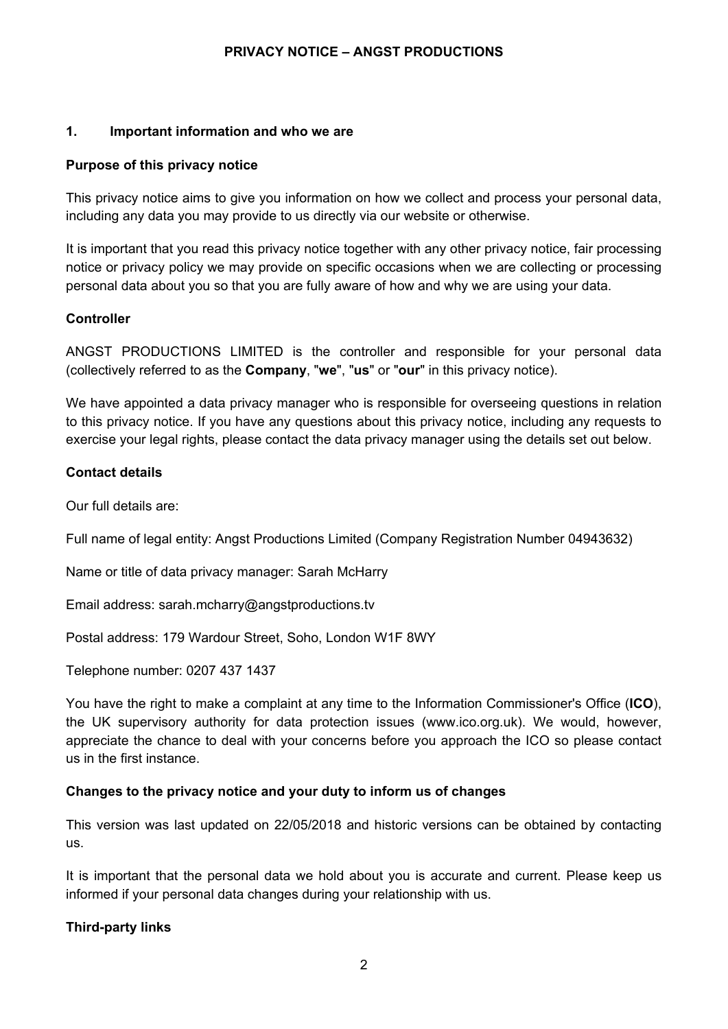#### **1. Important information and who we are**

#### **Purpose of this privacy notice**

This privacy notice aims to give you information on how we collect and process your personal data, including any data you may provide to us directly via our website or otherwise.

It is important that you read this privacy notice together with any other privacy notice, fair processing notice or privacy policy we may provide on specific occasions when we are collecting or processing personal data about you so that you are fully aware of how and why we are using your data.

### **Controller**

ANGST PRODUCTIONS LIMITED is the controller and responsible for your personal data (collectively referred to as the **Company**, "**we**", "**us**" or "**our**" in this privacy notice).

We have appointed a data privacy manager who is responsible for overseeing questions in relation to this privacy notice. If you have any questions about this privacy notice, including any requests to exercise your legal rights, please contact the data privacy manager using the details set out below.

#### **Contact details**

Our full details are:

Full name of legal entity: Angst Productions Limited (Company Registration Number 04943632)

Name or title of data privacy manager: Sarah McHarry

Email address: sarah.mcharry@angstproductions.tv

Postal address: 179 Wardour Street, Soho, London W1F 8WY

Telephone number: 0207 437 1437

You have the right to make a complaint at any time to the Information Commissioner's Office (**ICO**), the UK supervisory authority for data protection issues (www.ico.org.uk). We would, however, appreciate the chance to deal with your concerns before you approach the ICO so please contact us in the first instance.

### **Changes to the privacy notice and your duty to inform us of changes**

This version was last updated on 22/05/2018 and historic versions can be obtained by contacting us.

It is important that the personal data we hold about you is accurate and current. Please keep us informed if your personal data changes during your relationship with us.

### **Third-party links**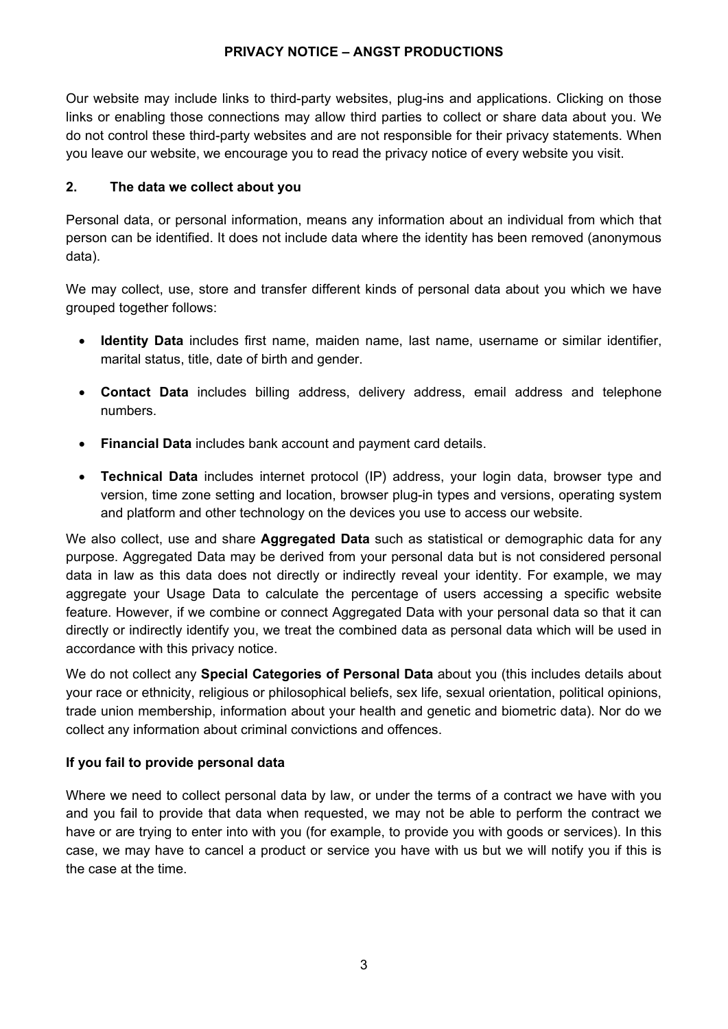Our website may include links to third-party websites, plug-ins and applications. Clicking on those links or enabling those connections may allow third parties to collect or share data about you. We do not control these third-party websites and are not responsible for their privacy statements. When you leave our website, we encourage you to read the privacy notice of every website you visit.

## **2. The data we collect about you**

Personal data, or personal information, means any information about an individual from which that person can be identified. It does not include data where the identity has been removed (anonymous data).

We may collect, use, store and transfer different kinds of personal data about you which we have grouped together follows:

- **Identity Data** includes first name, maiden name, last name, username or similar identifier, marital status, title, date of birth and gender.
- **Contact Data** includes billing address, delivery address, email address and telephone numbers.
- **Financial Data** includes bank account and payment card details.
- **Technical Data** includes internet protocol (IP) address, your login data, browser type and version, time zone setting and location, browser plug-in types and versions, operating system and platform and other technology on the devices you use to access our website.

We also collect, use and share **Aggregated Data** such as statistical or demographic data for any purpose. Aggregated Data may be derived from your personal data but is not considered personal data in law as this data does not directly or indirectly reveal your identity. For example, we may aggregate your Usage Data to calculate the percentage of users accessing a specific website feature. However, if we combine or connect Aggregated Data with your personal data so that it can directly or indirectly identify you, we treat the combined data as personal data which will be used in accordance with this privacy notice.

We do not collect any **Special Categories of Personal Data** about you (this includes details about your race or ethnicity, religious or philosophical beliefs, sex life, sexual orientation, political opinions, trade union membership, information about your health and genetic and biometric data). Nor do we collect any information about criminal convictions and offences.

### **If you fail to provide personal data**

Where we need to collect personal data by law, or under the terms of a contract we have with you and you fail to provide that data when requested, we may not be able to perform the contract we have or are trying to enter into with you (for example, to provide you with goods or services). In this case, we may have to cancel a product or service you have with us but we will notify you if this is the case at the time.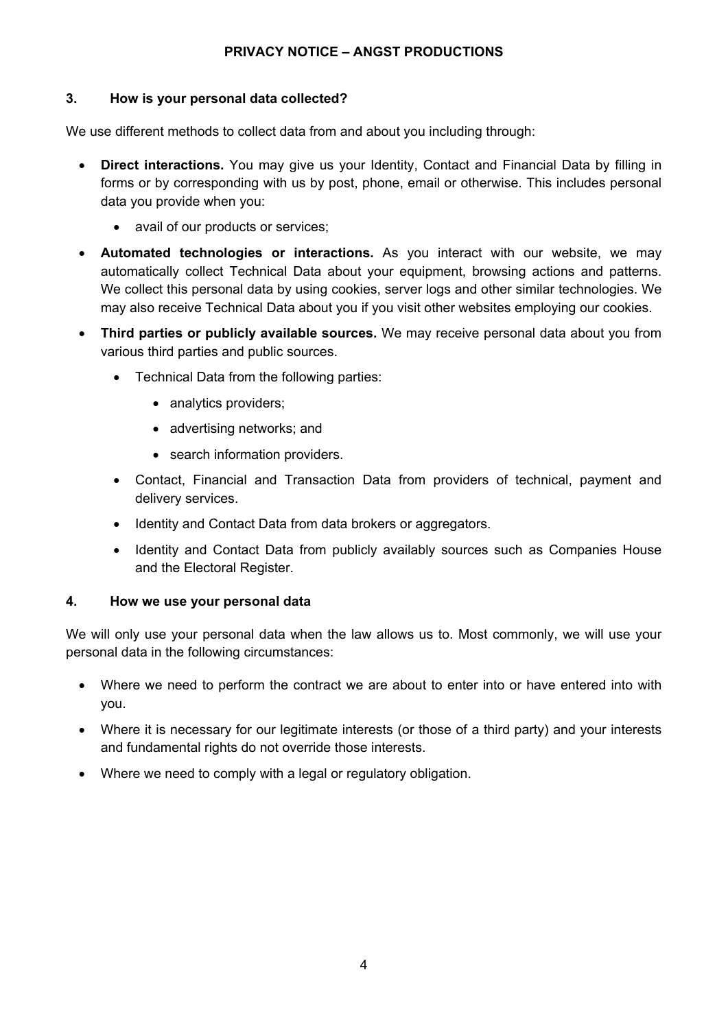# **3. How is your personal data collected?**

We use different methods to collect data from and about you including through:

- **Direct interactions.** You may give us your Identity, Contact and Financial Data by filling in forms or by corresponding with us by post, phone, email or otherwise. This includes personal data you provide when you:
	- avail of our products or services;
- **Automated technologies or interactions.** As you interact with our website, we may automatically collect Technical Data about your equipment, browsing actions and patterns. We collect this personal data by using cookies, server logs and other similar technologies. We may also receive Technical Data about you if you visit other websites employing our cookies.
- **Third parties or publicly available sources.** We may receive personal data about you from various third parties and public sources.
	- Technical Data from the following parties:
		- analytics providers;
		- advertising networks; and
		- search information providers.
	- Contact, Financial and Transaction Data from providers of technical, payment and delivery services.
	- Identity and Contact Data from data brokers or aggregators.
	- Identity and Contact Data from publicly availably sources such as Companies House and the Electoral Register.

# **4. How we use your personal data**

We will only use your personal data when the law allows us to. Most commonly, we will use your personal data in the following circumstances:

- Where we need to perform the contract we are about to enter into or have entered into with you.
- Where it is necessary for our legitimate interests (or those of a third party) and your interests and fundamental rights do not override those interests.
- Where we need to comply with a legal or regulatory obligation.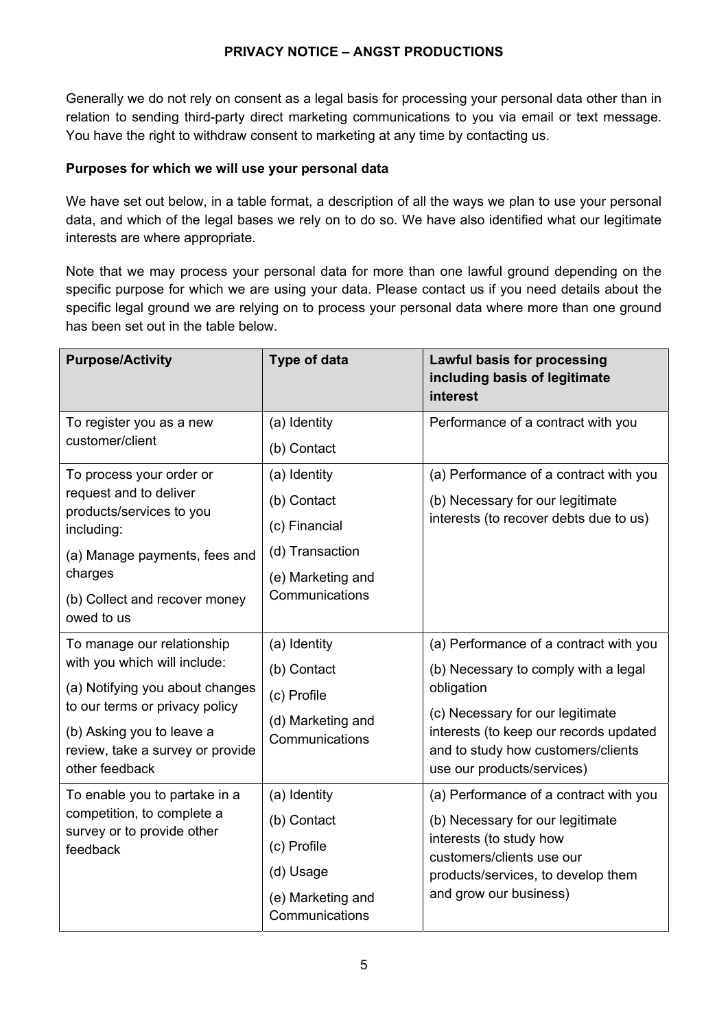Generally we do not rely on consent as a legal basis for processing your personal data other than in relation to sending third-party direct marketing communications to you via email or text message. You have the right to withdraw consent to marketing at any time by contacting us.

### **Purposes for which we will use your personal data**

We have set out below, in a table format, a description of all the ways we plan to use your personal data, and which of the legal bases we rely on to do so. We have also identified what our legitimate interests are where appropriate.

Note that we may process your personal data for more than one lawful ground depending on the specific purpose for which we are using your data. Please contact us if you need details about the specific legal ground we are relying on to process your personal data where more than one ground has been set out in the table below.

| <b>Purpose/Activity</b>                                                                                                         | <b>Type of data</b>                 | <b>Lawful basis for processing</b><br>including basis of legitimate<br>interest                                                                                                                      |
|---------------------------------------------------------------------------------------------------------------------------------|-------------------------------------|------------------------------------------------------------------------------------------------------------------------------------------------------------------------------------------------------|
| To register you as a new<br>customer/client                                                                                     | (a) Identity                        | Performance of a contract with you                                                                                                                                                                   |
|                                                                                                                                 | (b) Contact                         |                                                                                                                                                                                                      |
| To process your order or<br>request and to deliver<br>products/services to you<br>including:                                    | (a) Identity                        | (a) Performance of a contract with you                                                                                                                                                               |
|                                                                                                                                 | (b) Contact                         | (b) Necessary for our legitimate<br>interests (to recover debts due to us)                                                                                                                           |
|                                                                                                                                 | (c) Financial                       |                                                                                                                                                                                                      |
| (a) Manage payments, fees and<br>charges                                                                                        | (d) Transaction                     |                                                                                                                                                                                                      |
|                                                                                                                                 | (e) Marketing and                   |                                                                                                                                                                                                      |
| (b) Collect and recover money<br>owed to us                                                                                     | Communications                      |                                                                                                                                                                                                      |
| To manage our relationship<br>with you which will include:<br>(a) Notifying you about changes<br>to our terms or privacy policy | (a) Identity                        | (a) Performance of a contract with you                                                                                                                                                               |
|                                                                                                                                 | (b) Contact                         | (b) Necessary to comply with a legal<br>obligation<br>(c) Necessary for our legitimate<br>interests (to keep our records updated<br>and to study how customers/clients<br>use our products/services) |
|                                                                                                                                 | (c) Profile                         |                                                                                                                                                                                                      |
| (b) Asking you to leave a<br>review, take a survey or provide<br>other feedback                                                 | (d) Marketing and<br>Communications |                                                                                                                                                                                                      |
| To enable you to partake in a<br>competition, to complete a<br>survey or to provide other<br>feedback                           | (a) Identity                        | (a) Performance of a contract with you                                                                                                                                                               |
|                                                                                                                                 | (b) Contact                         | (b) Necessary for our legitimate<br>interests (to study how<br>customers/clients use our<br>products/services, to develop them<br>and grow our business)                                             |
|                                                                                                                                 | (c) Profile                         |                                                                                                                                                                                                      |
|                                                                                                                                 | (d) Usage                           |                                                                                                                                                                                                      |
|                                                                                                                                 | (e) Marketing and<br>Communications |                                                                                                                                                                                                      |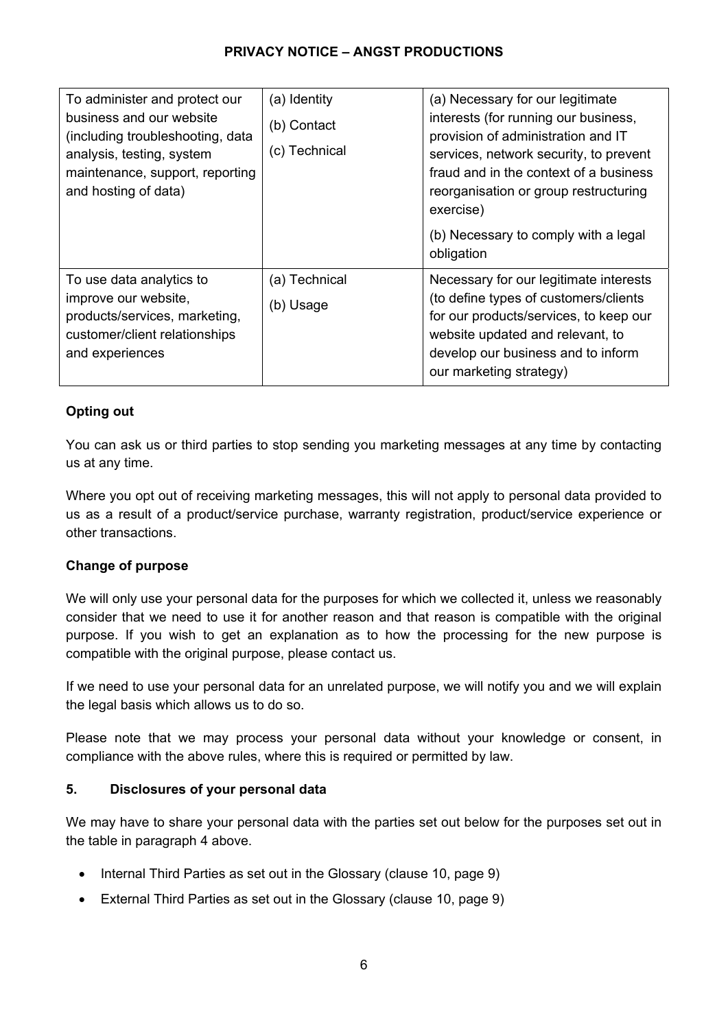| To administer and protect our<br>business and our website<br>(including troubleshooting, data<br>analysis, testing, system<br>maintenance, support, reporting<br>and hosting of data) | (a) Identity<br>(b) Contact<br>(c) Technical | (a) Necessary for our legitimate<br>interests (for running our business,<br>provision of administration and IT<br>services, network security, to prevent<br>fraud and in the context of a business<br>reorganisation or group restructuring<br>exercise)<br>(b) Necessary to comply with a legal<br>obligation |
|---------------------------------------------------------------------------------------------------------------------------------------------------------------------------------------|----------------------------------------------|----------------------------------------------------------------------------------------------------------------------------------------------------------------------------------------------------------------------------------------------------------------------------------------------------------------|
| To use data analytics to<br>improve our website,<br>products/services, marketing,<br>customer/client relationships<br>and experiences                                                 | (a) Technical<br>(b) Usage                   | Necessary for our legitimate interests<br>(to define types of customers/clients)<br>for our products/services, to keep our<br>website updated and relevant, to<br>develop our business and to inform<br>our marketing strategy)                                                                                |

# **Opting out**

You can ask us or third parties to stop sending you marketing messages at any time by contacting us at any time.

Where you opt out of receiving marketing messages, this will not apply to personal data provided to us as a result of a product/service purchase, warranty registration, product/service experience or other transactions.

### **Change of purpose**

We will only use your personal data for the purposes for which we collected it, unless we reasonably consider that we need to use it for another reason and that reason is compatible with the original purpose. If you wish to get an explanation as to how the processing for the new purpose is compatible with the original purpose, please contact us.

If we need to use your personal data for an unrelated purpose, we will notify you and we will explain the legal basis which allows us to do so.

Please note that we may process your personal data without your knowledge or consent, in compliance with the above rules, where this is required or permitted by law.

# **5. Disclosures of your personal data**

We may have to share your personal data with the parties set out below for the purposes set out in the table in paragraph 4 above.

- Internal Third Parties as set out in the Glossary (clause 10, page 9)
- External Third Parties as set out in the Glossary (clause 10, page 9)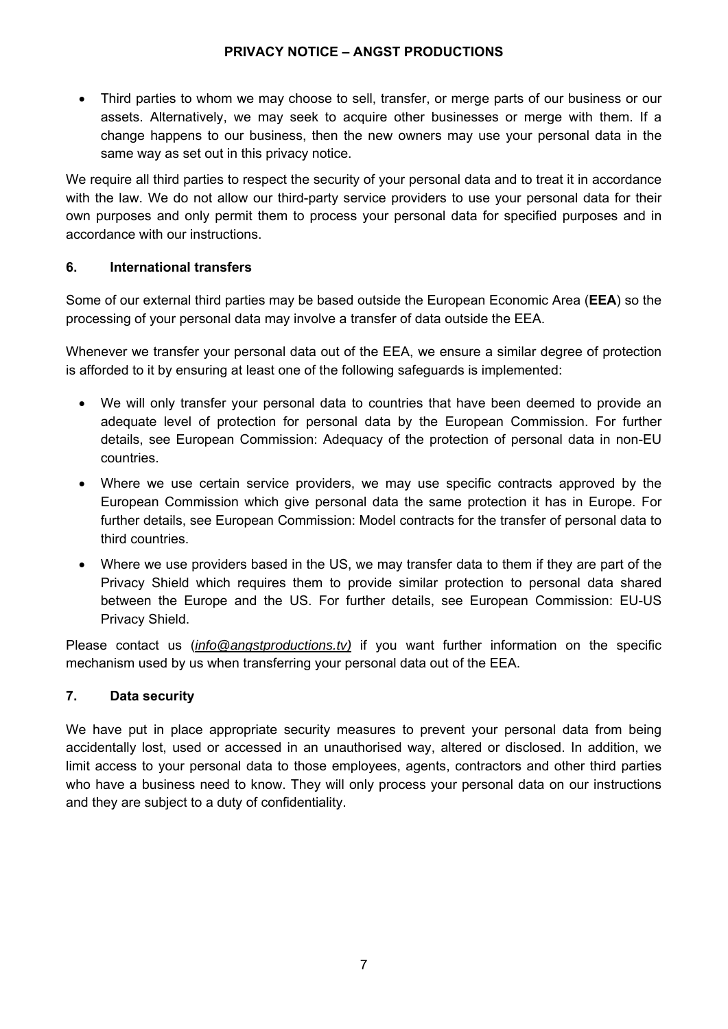Third parties to whom we may choose to sell, transfer, or merge parts of our business or our assets. Alternatively, we may seek to acquire other businesses or merge with them. If a change happens to our business, then the new owners may use your personal data in the same way as set out in this privacy notice.

We require all third parties to respect the security of your personal data and to treat it in accordance with the law. We do not allow our third-party service providers to use your personal data for their own purposes and only permit them to process your personal data for specified purposes and in accordance with our instructions.

### **6. International transfers**

Some of our external third parties may be based outside the European Economic Area (**EEA**) so the processing of your personal data may involve a transfer of data outside the EEA.

Whenever we transfer your personal data out of the EEA, we ensure a similar degree of protection is afforded to it by ensuring at least one of the following safeguards is implemented:

- We will only transfer your personal data to countries that have been deemed to provide an adequate level of protection for personal data by the European Commission. For further details, see European Commission: Adequacy of the protection of personal data in non-EU countries.
- Where we use certain service providers, we may use specific contracts approved by the European Commission which give personal data the same protection it has in Europe. For further details, see European Commission: Model contracts for the transfer of personal data to third countries.
- Where we use providers based in the US, we may transfer data to them if they are part of the Privacy Shield which requires them to provide similar protection to personal data shared between the Europe and the US. For further details, see European Commission: EU-US Privacy Shield.

Please contact us (*info@angstproductions.tv)* if you want further information on the specific mechanism used by us when transferring your personal data out of the EEA.

# **7. Data security**

We have put in place appropriate security measures to prevent your personal data from being accidentally lost, used or accessed in an unauthorised way, altered or disclosed. In addition, we limit access to your personal data to those employees, agents, contractors and other third parties who have a business need to know. They will only process your personal data on our instructions and they are subject to a duty of confidentiality.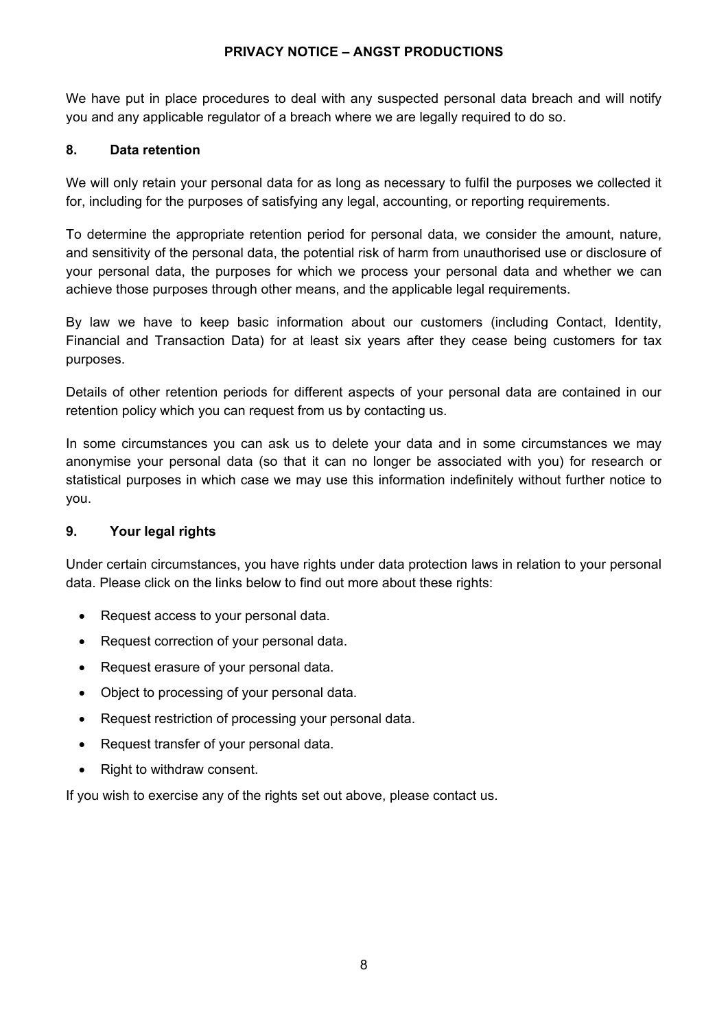We have put in place procedures to deal with any suspected personal data breach and will notify you and any applicable regulator of a breach where we are legally required to do so.

## **8. Data retention**

We will only retain your personal data for as long as necessary to fulfil the purposes we collected it for, including for the purposes of satisfying any legal, accounting, or reporting requirements.

To determine the appropriate retention period for personal data, we consider the amount, nature, and sensitivity of the personal data, the potential risk of harm from unauthorised use or disclosure of your personal data, the purposes for which we process your personal data and whether we can achieve those purposes through other means, and the applicable legal requirements.

By law we have to keep basic information about our customers (including Contact, Identity, Financial and Transaction Data) for at least six years after they cease being customers for tax purposes.

Details of other retention periods for different aspects of your personal data are contained in our retention policy which you can request from us by contacting us.

In some circumstances you can ask us to delete your data and in some circumstances we may anonymise your personal data (so that it can no longer be associated with you) for research or statistical purposes in which case we may use this information indefinitely without further notice to you.

# **9. Your legal rights**

Under certain circumstances, you have rights under data protection laws in relation to your personal data. Please click on the links below to find out more about these rights:

- Request access to your personal data.
- Request correction of your personal data.
- Request erasure of your personal data.
- Object to processing of your personal data.
- Request restriction of processing your personal data.
- Request transfer of your personal data.
- Right to withdraw consent.

If you wish to exercise any of the rights set out above, please contact us.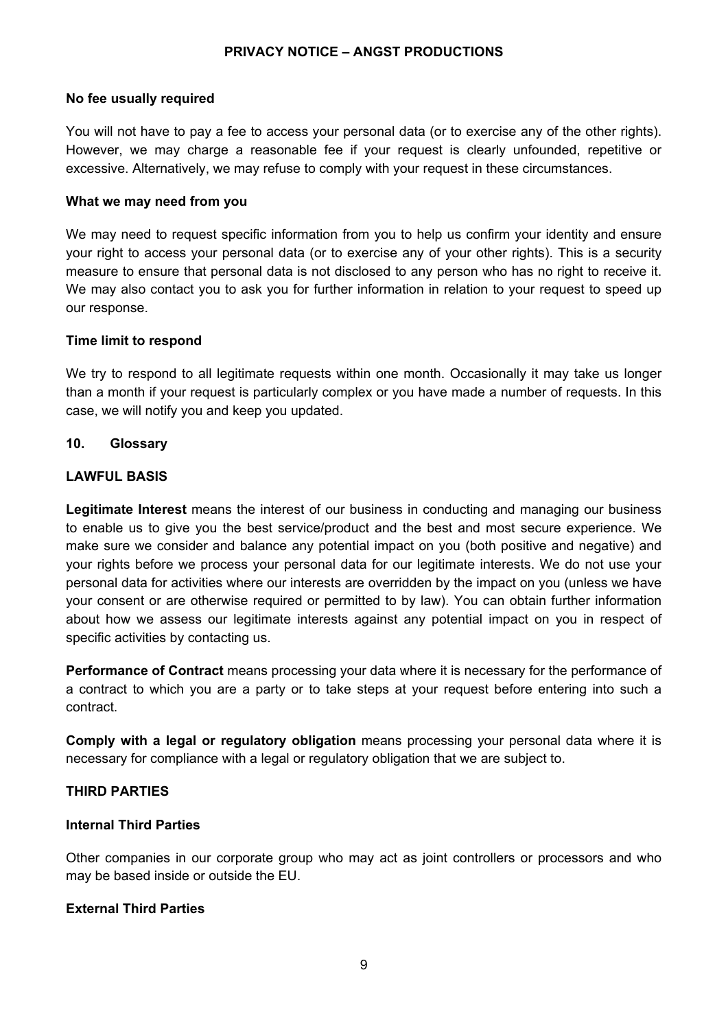### **No fee usually required**

You will not have to pay a fee to access your personal data (or to exercise any of the other rights). However, we may charge a reasonable fee if your request is clearly unfounded, repetitive or excessive. Alternatively, we may refuse to comply with your request in these circumstances.

### **What we may need from you**

We may need to request specific information from you to help us confirm your identity and ensure your right to access your personal data (or to exercise any of your other rights). This is a security measure to ensure that personal data is not disclosed to any person who has no right to receive it. We may also contact you to ask you for further information in relation to your request to speed up our response.

### **Time limit to respond**

We try to respond to all legitimate requests within one month. Occasionally it may take us longer than a month if your request is particularly complex or you have made a number of requests. In this case, we will notify you and keep you updated.

### **10. Glossary**

### **LAWFUL BASIS**

**Legitimate Interest** means the interest of our business in conducting and managing our business to enable us to give you the best service/product and the best and most secure experience. We make sure we consider and balance any potential impact on you (both positive and negative) and your rights before we process your personal data for our legitimate interests. We do not use your personal data for activities where our interests are overridden by the impact on you (unless we have your consent or are otherwise required or permitted to by law). You can obtain further information about how we assess our legitimate interests against any potential impact on you in respect of specific activities by contacting us.

**Performance of Contract** means processing your data where it is necessary for the performance of a contract to which you are a party or to take steps at your request before entering into such a contract.

**Comply with a legal or regulatory obligation** means processing your personal data where it is necessary for compliance with a legal or regulatory obligation that we are subject to.

### **THIRD PARTIES**

### **Internal Third Parties**

Other companies in our corporate group who may act as joint controllers or processors and who may be based inside or outside the EU.

### **External Third Parties**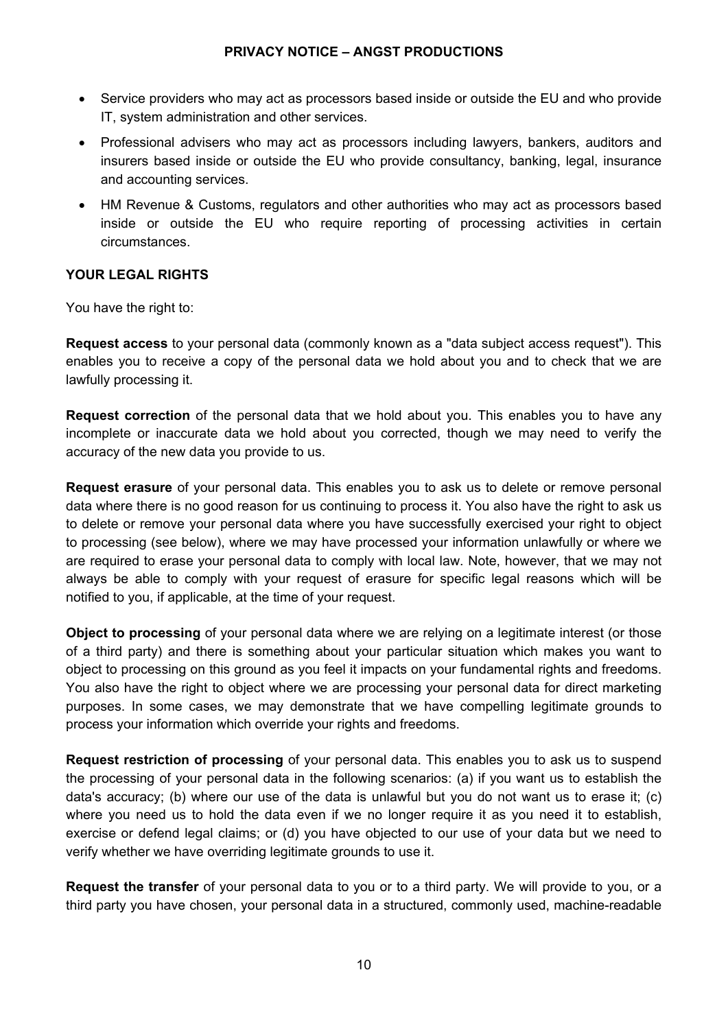- Service providers who may act as processors based inside or outside the EU and who provide IT, system administration and other services.
- Professional advisers who may act as processors including lawyers, bankers, auditors and insurers based inside or outside the EU who provide consultancy, banking, legal, insurance and accounting services.
- HM Revenue & Customs, regulators and other authorities who may act as processors based inside or outside the EU who require reporting of processing activities in certain circumstances.

# **YOUR LEGAL RIGHTS**

You have the right to:

**Request access** to your personal data (commonly known as a "data subject access request"). This enables you to receive a copy of the personal data we hold about you and to check that we are lawfully processing it.

**Request correction** of the personal data that we hold about you. This enables you to have any incomplete or inaccurate data we hold about you corrected, though we may need to verify the accuracy of the new data you provide to us.

**Request erasure** of your personal data. This enables you to ask us to delete or remove personal data where there is no good reason for us continuing to process it. You also have the right to ask us to delete or remove your personal data where you have successfully exercised your right to object to processing (see below), where we may have processed your information unlawfully or where we are required to erase your personal data to comply with local law. Note, however, that we may not always be able to comply with your request of erasure for specific legal reasons which will be notified to you, if applicable, at the time of your request.

**Object to processing** of your personal data where we are relying on a legitimate interest (or those of a third party) and there is something about your particular situation which makes you want to object to processing on this ground as you feel it impacts on your fundamental rights and freedoms. You also have the right to object where we are processing your personal data for direct marketing purposes. In some cases, we may demonstrate that we have compelling legitimate grounds to process your information which override your rights and freedoms.

**Request restriction of processing** of your personal data. This enables you to ask us to suspend the processing of your personal data in the following scenarios: (a) if you want us to establish the data's accuracy; (b) where our use of the data is unlawful but you do not want us to erase it; (c) where you need us to hold the data even if we no longer require it as you need it to establish. exercise or defend legal claims; or (d) you have objected to our use of your data but we need to verify whether we have overriding legitimate grounds to use it.

**Request the transfer** of your personal data to you or to a third party. We will provide to you, or a third party you have chosen, your personal data in a structured, commonly used, machine-readable